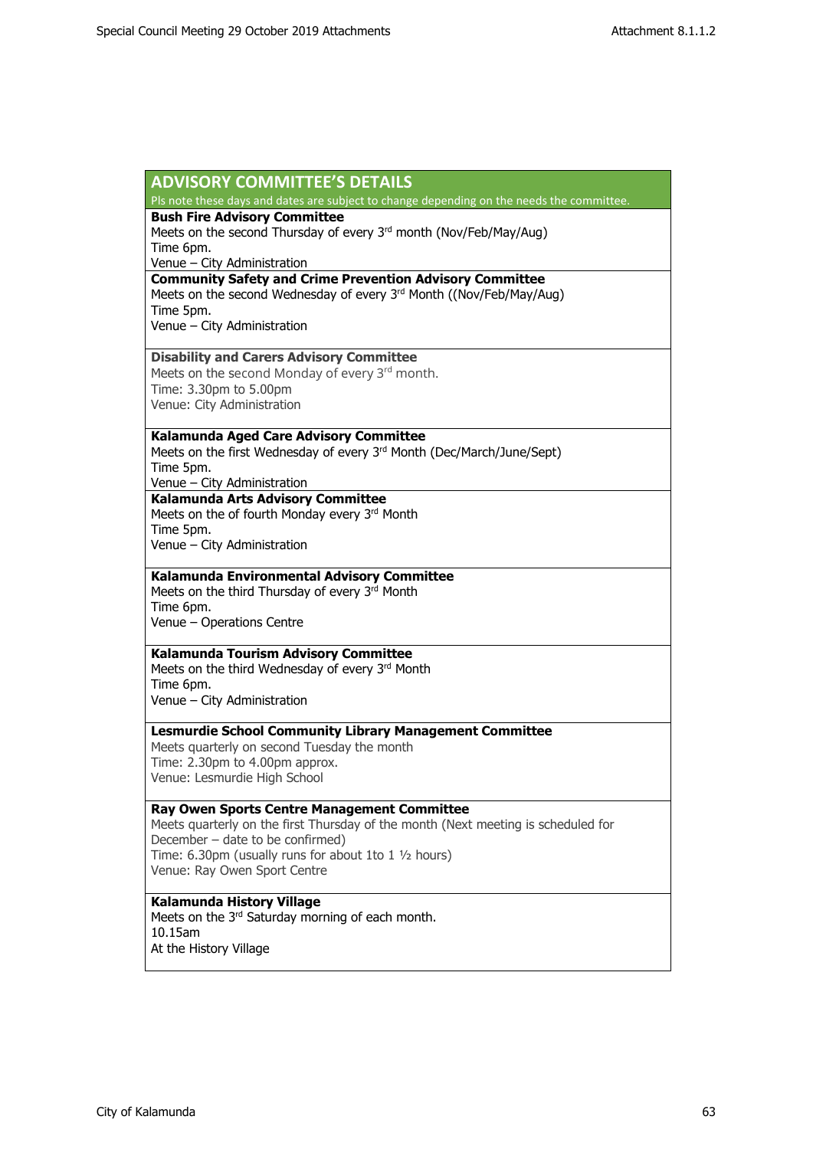| <b>ADVISORY COMMITTEE'S DETAILS</b>                                                                                                                  |
|------------------------------------------------------------------------------------------------------------------------------------------------------|
| Pls note these days and dates are subject to change depending on the needs the committee.                                                            |
| <b>Bush Fire Advisory Committee</b><br>Meets on the second Thursday of every 3rd month (Nov/Feb/May/Aug)<br>Time 6pm.<br>Venue - City Administration |
| <b>Community Safety and Crime Prevention Advisory Committee</b>                                                                                      |
| Meets on the second Wednesday of every 3rd Month ((Nov/Feb/May/Aug)                                                                                  |
| Time 5pm.                                                                                                                                            |
| Venue - City Administration                                                                                                                          |
| <b>Disability and Carers Advisory Committee</b>                                                                                                      |
| Meets on the second Monday of every 3 <sup>rd</sup> month.                                                                                           |
| Time: 3.30pm to 5.00pm                                                                                                                               |
| Venue: City Administration                                                                                                                           |
| Kalamunda Aged Care Advisory Committee                                                                                                               |
| Meets on the first Wednesday of every 3rd Month (Dec/March/June/Sept)                                                                                |
| Time 5pm.                                                                                                                                            |
| Venue - City Administration                                                                                                                          |
| Kalamunda Arts Advisory Committee<br>Meets on the of fourth Monday every 3rd Month                                                                   |
| Time 5pm.                                                                                                                                            |
| Venue - City Administration                                                                                                                          |
|                                                                                                                                                      |
| Kalamunda Environmental Advisory Committee                                                                                                           |
| Meets on the third Thursday of every 3rd Month                                                                                                       |
| Time 6pm.                                                                                                                                            |
| Venue - Operations Centre                                                                                                                            |
| Kalamunda Tourism Advisory Committee                                                                                                                 |
| Meets on the third Wednesday of every 3rd Month                                                                                                      |
| Time 6pm.                                                                                                                                            |
| Venue - City Administration                                                                                                                          |
| <b>Lesmurdie School Community Library Management Committee</b>                                                                                       |
| Meets quarterly on second Tuesday the month                                                                                                          |
| Time: 2.30pm to 4.00pm approx.                                                                                                                       |
| Venue: Lesmurdie High School                                                                                                                         |
| <b>Ray Owen Sports Centre Management Committee</b>                                                                                                   |
| Meets quarterly on the first Thursday of the month (Next meeting is scheduled for                                                                    |
| December - date to be confirmed)                                                                                                                     |
| Time: 6.30pm (usually runs for about 1to 1 1/2 hours)                                                                                                |
| Venue: Ray Owen Sport Centre                                                                                                                         |
| Kalamunda History Village                                                                                                                            |
| Meets on the 3 <sup>rd</sup> Saturday morning of each month.                                                                                         |
| 10.15am                                                                                                                                              |
| At the History Village                                                                                                                               |
|                                                                                                                                                      |